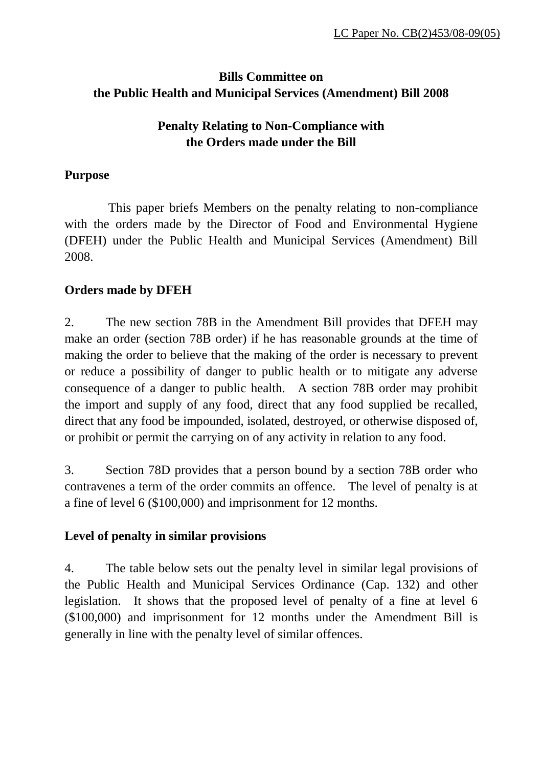# **Bills Committee on the Public Health and Municipal Services (Amendment) Bill 2008**

## **Penalty Relating to Non-Compliance with the Orders made under the Bill**

#### **Purpose**

 This paper briefs Members on the penalty relating to non-compliance with the orders made by the Director of Food and Environmental Hygiene (DFEH) under the Public Health and Municipal Services (Amendment) Bill 2008.

## **Orders made by DFEH**

2. The new section 78B in the Amendment Bill provides that DFEH may make an order (section 78B order) if he has reasonable grounds at the time of making the order to believe that the making of the order is necessary to prevent or reduce a possibility of danger to public health or to mitigate any adverse consequence of a danger to public health. A section 78B order may prohibit the import and supply of any food, direct that any food supplied be recalled, direct that any food be impounded, isolated, destroyed, or otherwise disposed of, or prohibit or permit the carrying on of any activity in relation to any food.

3. Section 78D provides that a person bound by a section 78B order who contravenes a term of the order commits an offence. The level of penalty is at a fine of level 6 (\$100,000) and imprisonment for 12 months.

#### **Level of penalty in similar provisions**

4. The table below sets out the penalty level in similar legal provisions of the Public Health and Municipal Services Ordinance (Cap. 132) and other legislation. It shows that the proposed level of penalty of a fine at level 6 (\$100,000) and imprisonment for 12 months under the Amendment Bill is generally in line with the penalty level of similar offences.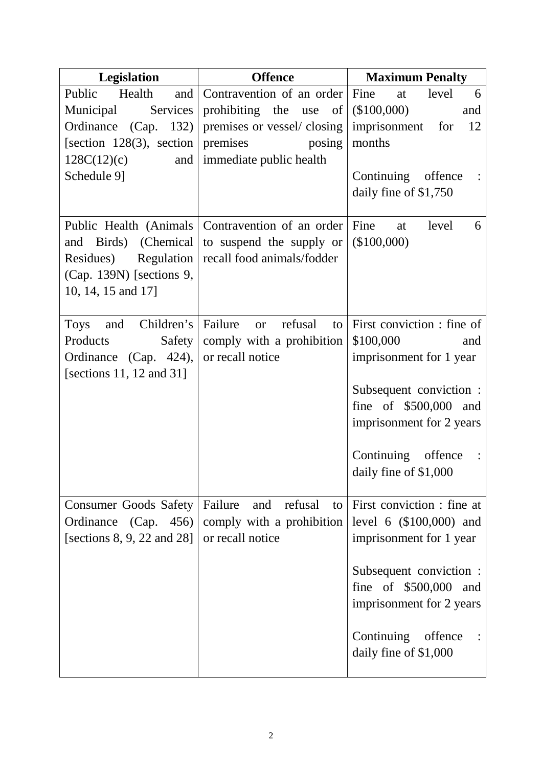| <b>Legislation</b>                                                                                                                          | <b>Offence</b>                                                                                                                          | <b>Maximum Penalty</b>                                                                                                                                                                                               |
|---------------------------------------------------------------------------------------------------------------------------------------------|-----------------------------------------------------------------------------------------------------------------------------------------|----------------------------------------------------------------------------------------------------------------------------------------------------------------------------------------------------------------------|
| Public<br>and  <br>Health<br>Municipal<br>Services<br>Ordinance (Cap. 132)<br>[section 128(3), section<br>128C(12)(c)<br>and<br>Schedule 9] | Contravention of an order Fine<br>prohibiting the use of<br>premises or vessel/closing<br>premises<br>posing<br>immediate public health | level<br>at<br>6<br>(\$100,000)<br>and<br>12<br>imprisonment<br>for<br>months<br>Continuing offence<br>daily fine of \$1,750                                                                                         |
| and Birds) (Chemical<br>Residues)<br>Regulation<br>(Cap. 139N) [sections 9,<br>10, 14, 15 and 17]                                           | Public Health (Animals   Contravention of an order  <br>to suspend the supply or<br>recall food animals/fodder                          | Fine<br>level<br>6<br>at<br>(\$100,000)                                                                                                                                                                              |
| Children's<br><b>Toys</b><br>and<br>Products<br>Safety<br>Ordinance (Cap. 424),<br>[sections 11, 12 and 31]                                 | Failure<br>refusal<br>to<br><b>or</b><br>comply with a prohibition<br>or recall notice                                                  | First conviction : fine of<br>\$100,000<br>and<br>imprisonment for 1 year<br>Subsequent conviction :<br>fine of $$500,000$ and<br>imprisonment for 2 years<br>Continuing offence<br>daily fine of \$1,000            |
| Consumer Goods Safety<br>Ordinance (Cap. 456)<br>[sections $8, 9, 22$ and $28$ ]                                                            | Failure<br>and refusal<br>to<br>comply with a prohibition<br>or recall notice                                                           | First conviction : fine at<br>level 6 $(\$100,000)$ and<br>imprisonment for 1 year<br>Subsequent conviction :<br>fine of \$500,000<br>and<br>imprisonment for 2 years<br>Continuing offence<br>daily fine of \$1,000 |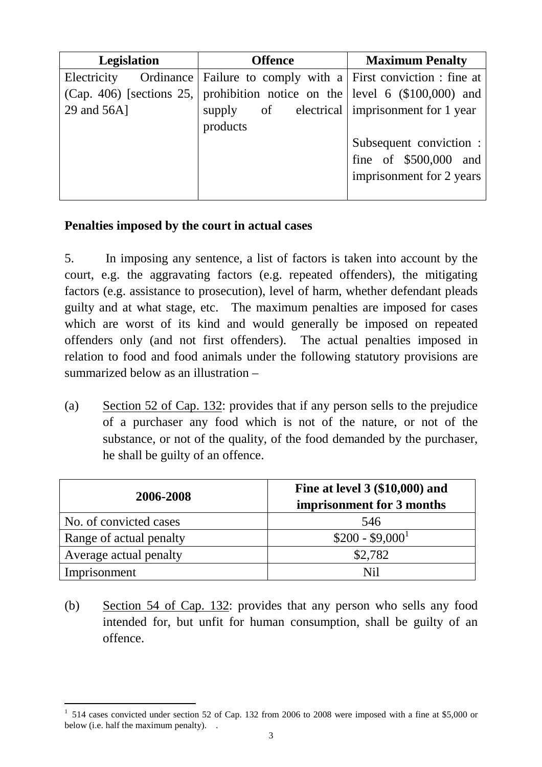| <b>Legislation</b> | <b>Offence</b>                                                                 | <b>Maximum Penalty</b>   |
|--------------------|--------------------------------------------------------------------------------|--------------------------|
|                    | Electricity Ordinance   Failure to comply with a   First conviction : fine at  |                          |
|                    | (Cap. 406) [sections 25,   prohibition notice on the level 6 $(\$100,000)$ and |                          |
| 29 and 56A]        | supply of electrical imprisonment for 1 year                                   |                          |
|                    | products                                                                       |                          |
|                    |                                                                                | Subsequent conviction :  |
|                    |                                                                                | fine of \$500,000 and    |
|                    |                                                                                | imprisonment for 2 years |
|                    |                                                                                |                          |

#### **Penalties imposed by the court in actual cases**

5. In imposing any sentence, a list of factors is taken into account by the court, e.g. the aggravating factors (e.g. repeated offenders), the mitigating factors (e.g. assistance to prosecution), level of harm, whether defendant pleads guilty and at what stage, etc. The maximum penalties are imposed for cases which are worst of its kind and would generally be imposed on repeated offenders only (and not first offenders). The actual penalties imposed in relation to food and food animals under the following statutory provisions are summarized below as an illustration –

(a) Section 52 of Cap. 132: provides that if any person sells to the prejudice of a purchaser any food which is not of the nature, or not of the substance, or not of the quality, of the food demanded by the purchaser, he shall be guilty of an offence.

| 2006-2008               | Fine at level 3 (\$10,000) and<br>imprisonment for 3 months |
|-------------------------|-------------------------------------------------------------|
| No. of convicted cases  | 546                                                         |
| Range of actual penalty | $$200 - $9,000^1$                                           |
| Average actual penalty  | \$2,782                                                     |
| Imprisonment            | N <sub>i</sub>                                              |

(b) Section 54 of Cap. 132: provides that any person who sells any food intended for, but unfit for human consumption, shall be guilty of an offence.

l

<sup>&</sup>lt;sup>1</sup> 514 cases convicted under section 52 of Cap. 132 from 2006 to 2008 were imposed with a fine at \$5,000 or below (i.e. half the maximum penalty). .